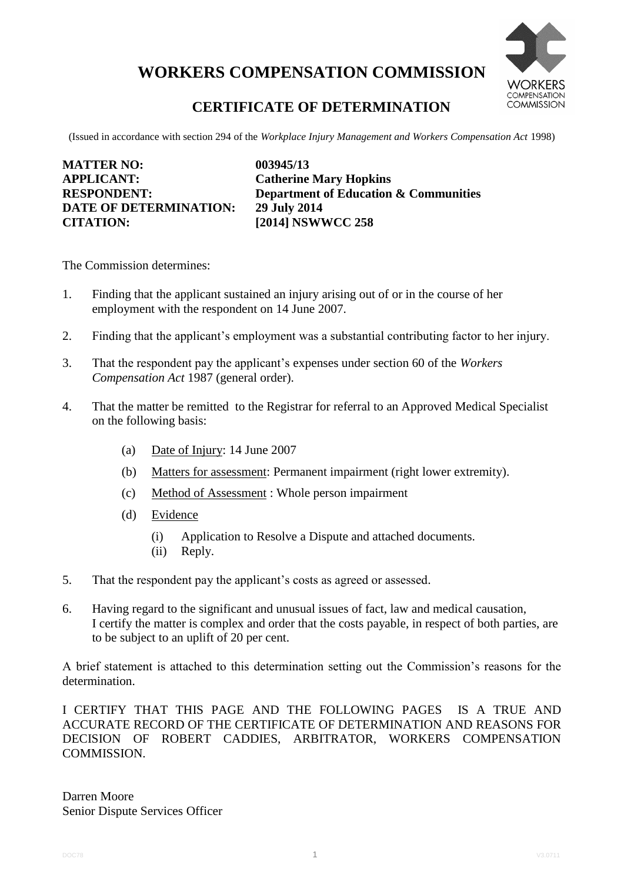# **WORKERS COMPENSATION COMMISSION**



# **CERTIFICATE OF DETERMINATION**

(Issued in accordance with section 294 of the *Workplace Injury Management and Workers Compensation Act* 1998)

| <b>MATTER NO:</b>             | 003945/13                                        |
|-------------------------------|--------------------------------------------------|
| <b>APPLICANT:</b>             | <b>Catherine Mary Hopkins</b>                    |
| <b>RESPONDENT:</b>            | <b>Department of Education &amp; Communities</b> |
| <b>DATE OF DETERMINATION:</b> | 29 July 2014                                     |
| <b>CITATION:</b>              | [2014] NSWWCC 258                                |

The Commission determines:

- 1. Finding that the applicant sustained an injury arising out of or in the course of her employment with the respondent on 14 June 2007.
- 2. Finding that the applicant's employment was a substantial contributing factor to her injury.
- 3. That the respondent pay the applicant's expenses under section 60 of the *Workers Compensation Act* 1987 (general order).
- 4. That the matter be remitted to the Registrar for referral to an Approved Medical Specialist on the following basis:
	- (a) Date of Injury: 14 June 2007
	- (b) Matters for assessment: Permanent impairment (right lower extremity).
	- (c) Method of Assessment : Whole person impairment
	- (d) Evidence
		- (i) Application to Resolve a Dispute and attached documents.
		- (ii) Reply.
- 5. That the respondent pay the applicant's costs as agreed or assessed.
- 6. Having regard to the significant and unusual issues of fact, law and medical causation, I certify the matter is complex and order that the costs payable, in respect of both parties, are to be subject to an uplift of 20 per cent.

A brief statement is attached to this determination setting out the Commission's reasons for the determination.

I CERTIFY THAT THIS PAGE AND THE FOLLOWING PAGES IS A TRUE AND ACCURATE RECORD OF THE CERTIFICATE OF DETERMINATION AND REASONS FOR DECISION OF ROBERT CADDIES, ARBITRATOR, WORKERS COMPENSATION COMMISSION.

Darren Moore Senior Dispute Services Officer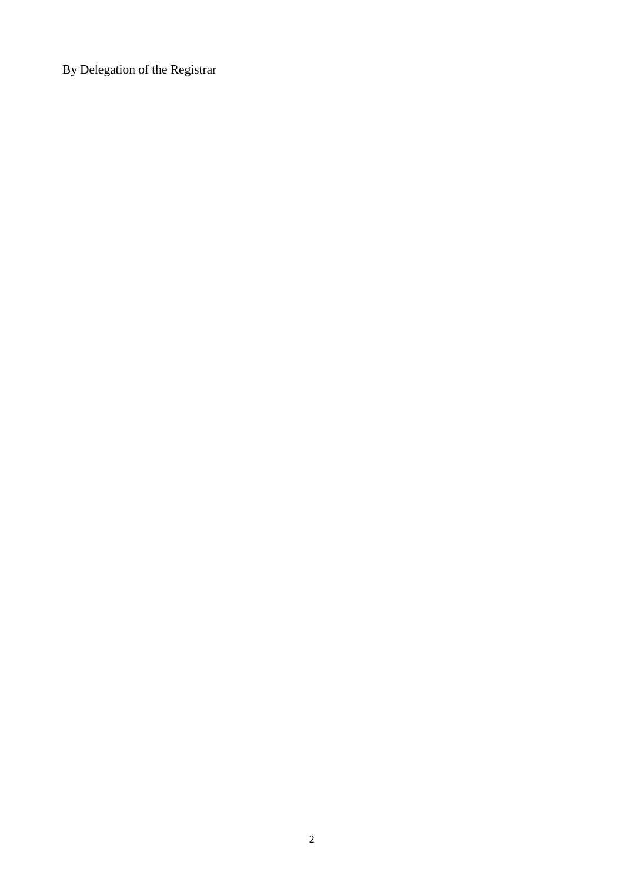By Delegation of the Registrar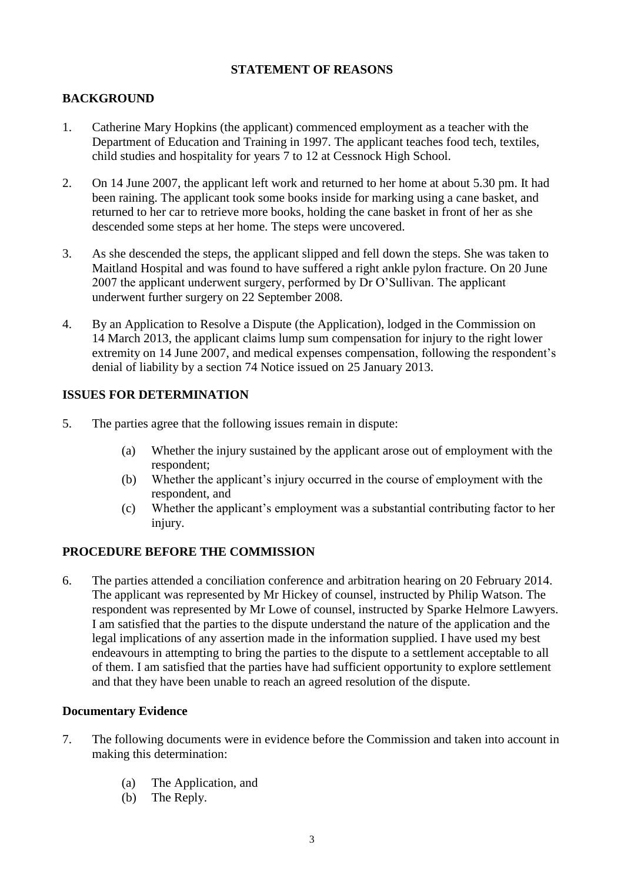#### **STATEMENT OF REASONS**

# **BACKGROUND**

- 1. Catherine Mary Hopkins (the applicant) commenced employment as a teacher with the Department of Education and Training in 1997. The applicant teaches food tech, textiles, child studies and hospitality for years 7 to 12 at Cessnock High School.
- 2. On 14 June 2007, the applicant left work and returned to her home at about 5.30 pm. It had been raining. The applicant took some books inside for marking using a cane basket, and returned to her car to retrieve more books, holding the cane basket in front of her as she descended some steps at her home. The steps were uncovered.
- 3. As she descended the steps, the applicant slipped and fell down the steps. She was taken to Maitland Hospital and was found to have suffered a right ankle pylon fracture. On 20 June 2007 the applicant underwent surgery, performed by Dr O'Sullivan. The applicant underwent further surgery on 22 September 2008.
- 4. By an Application to Resolve a Dispute (the Application), lodged in the Commission on 14 March 2013, the applicant claims lump sum compensation for injury to the right lower extremity on 14 June 2007, and medical expenses compensation, following the respondent's denial of liability by a section 74 Notice issued on 25 January 2013.

# **ISSUES FOR DETERMINATION**

- 5. The parties agree that the following issues remain in dispute:
	- (a) Whether the injury sustained by the applicant arose out of employment with the respondent;
	- (b) Whether the applicant's injury occurred in the course of employment with the respondent, and
	- (c) Whether the applicant's employment was a substantial contributing factor to her injury.

# **PROCEDURE BEFORE THE COMMISSION**

6. The parties attended a conciliation conference and arbitration hearing on 20 February 2014. The applicant was represented by Mr Hickey of counsel, instructed by Philip Watson. The respondent was represented by Mr Lowe of counsel, instructed by Sparke Helmore Lawyers. I am satisfied that the parties to the dispute understand the nature of the application and the legal implications of any assertion made in the information supplied. I have used my best endeavours in attempting to bring the parties to the dispute to a settlement acceptable to all of them. I am satisfied that the parties have had sufficient opportunity to explore settlement and that they have been unable to reach an agreed resolution of the dispute.

#### **Documentary Evidence**

- 7. The following documents were in evidence before the Commission and taken into account in making this determination:
	- (a) The Application, and
	- (b) The Reply.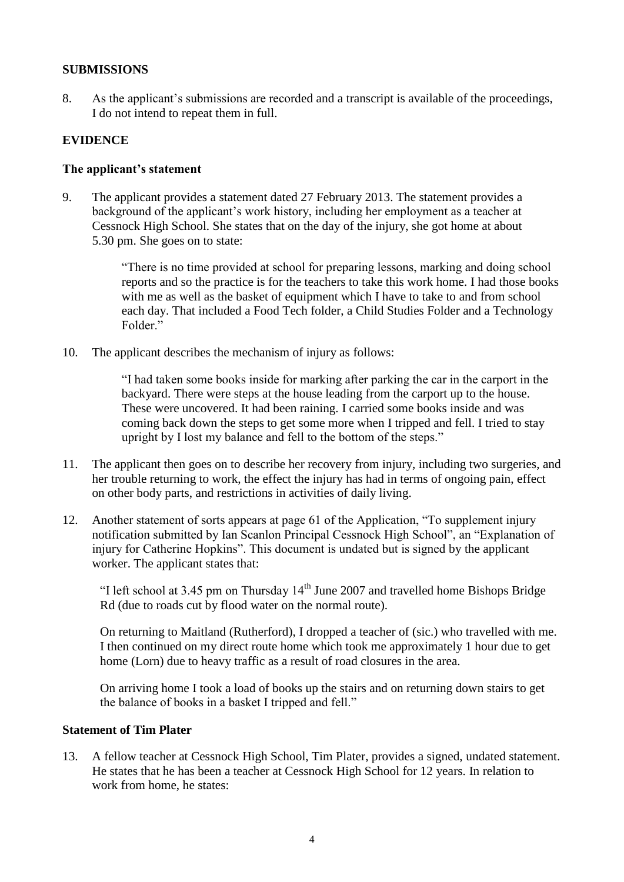#### **SUBMISSIONS**

8. As the applicant's submissions are recorded and a transcript is available of the proceedings, I do not intend to repeat them in full.

#### **EVIDENCE**

#### **The applicant's statement**

9. The applicant provides a statement dated 27 February 2013. The statement provides a background of the applicant's work history, including her employment as a teacher at Cessnock High School. She states that on the day of the injury, she got home at about 5.30 pm. She goes on to state:

> "There is no time provided at school for preparing lessons, marking and doing school reports and so the practice is for the teachers to take this work home. I had those books with me as well as the basket of equipment which I have to take to and from school each day. That included a Food Tech folder, a Child Studies Folder and a Technology Folder."

10. The applicant describes the mechanism of injury as follows:

"I had taken some books inside for marking after parking the car in the carport in the backyard. There were steps at the house leading from the carport up to the house. These were uncovered. It had been raining. I carried some books inside and was coming back down the steps to get some more when I tripped and fell. I tried to stay upright by I lost my balance and fell to the bottom of the steps."

- 11. The applicant then goes on to describe her recovery from injury, including two surgeries, and her trouble returning to work, the effect the injury has had in terms of ongoing pain, effect on other body parts, and restrictions in activities of daily living.
- 12. Another statement of sorts appears at page 61 of the Application, "To supplement injury notification submitted by Ian Scanlon Principal Cessnock High School", an "Explanation of injury for Catherine Hopkins". This document is undated but is signed by the applicant worker. The applicant states that:

"I left school at 3.45 pm on Thursday  $14<sup>th</sup>$  June 2007 and travelled home Bishops Bridge Rd (due to roads cut by flood water on the normal route).

On returning to Maitland (Rutherford), I dropped a teacher of (sic.) who travelled with me. I then continued on my direct route home which took me approximately 1 hour due to get home (Lorn) due to heavy traffic as a result of road closures in the area.

On arriving home I took a load of books up the stairs and on returning down stairs to get the balance of books in a basket I tripped and fell."

#### **Statement of Tim Plater**

13. A fellow teacher at Cessnock High School, Tim Plater, provides a signed, undated statement. He states that he has been a teacher at Cessnock High School for 12 years. In relation to work from home, he states: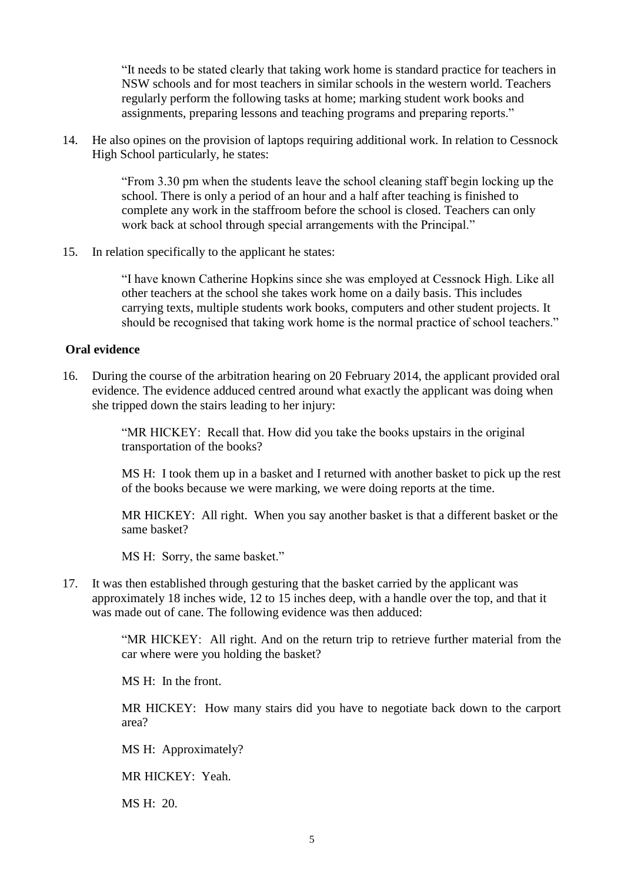"It needs to be stated clearly that taking work home is standard practice for teachers in NSW schools and for most teachers in similar schools in the western world. Teachers regularly perform the following tasks at home; marking student work books and assignments, preparing lessons and teaching programs and preparing reports."

14. He also opines on the provision of laptops requiring additional work. In relation to Cessnock High School particularly, he states:

> "From 3.30 pm when the students leave the school cleaning staff begin locking up the school. There is only a period of an hour and a half after teaching is finished to complete any work in the staffroom before the school is closed. Teachers can only work back at school through special arrangements with the Principal."

15. In relation specifically to the applicant he states:

"I have known Catherine Hopkins since she was employed at Cessnock High. Like all other teachers at the school she takes work home on a daily basis. This includes carrying texts, multiple students work books, computers and other student projects. It should be recognised that taking work home is the normal practice of school teachers."

#### **Oral evidence**

16. During the course of the arbitration hearing on 20 February 2014, the applicant provided oral evidence. The evidence adduced centred around what exactly the applicant was doing when she tripped down the stairs leading to her injury:

> "MR HICKEY: Recall that. How did you take the books upstairs in the original transportation of the books?

MS H: I took them up in a basket and I returned with another basket to pick up the rest of the books because we were marking, we were doing reports at the time.

MR HICKEY: All right. When you say another basket is that a different basket or the same basket?

MS H: Sorry, the same basket."

17. It was then established through gesturing that the basket carried by the applicant was approximately 18 inches wide, 12 to 15 inches deep, with a handle over the top, and that it was made out of cane. The following evidence was then adduced:

> "MR HICKEY: All right. And on the return trip to retrieve further material from the car where were you holding the basket?

MS H: In the front.

MR HICKEY: How many stairs did you have to negotiate back down to the carport area?

MS H: Approximately?

MR HICKEY: Yeah.

MS H: 20.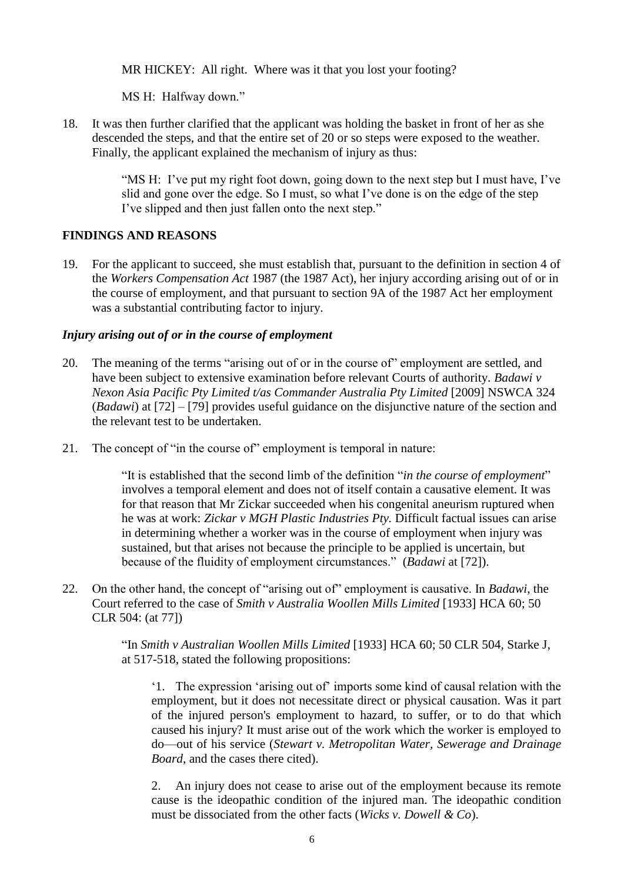MR HICKEY: All right. Where was it that you lost your footing?

MS H: Halfway down."

18. It was then further clarified that the applicant was holding the basket in front of her as she descended the steps, and that the entire set of 20 or so steps were exposed to the weather. Finally, the applicant explained the mechanism of injury as thus:

> "MS H: I've put my right foot down, going down to the next step but I must have, I've slid and gone over the edge. So I must, so what I've done is on the edge of the step I've slipped and then just fallen onto the next step."

# **FINDINGS AND REASONS**

19. For the applicant to succeed, she must establish that, pursuant to the definition in section 4 of the *Workers Compensation Act* 1987 (the 1987 Act), her injury according arising out of or in the course of employment, and that pursuant to section 9A of the 1987 Act her employment was a substantial contributing factor to injury.

# *Injury arising out of or in the course of employment*

- 20. The meaning of the terms "arising out of or in the course of" employment are settled, and have been subject to extensive examination before relevant Courts of authority. *Badawi v Nexon Asia Pacific Pty Limited t/as Commander Australia Pty Limited* [2009] NSWCA 324 (*Badawi*) at [72] – [79] provides useful guidance on the disjunctive nature of the section and the relevant test to be undertaken.
- 21. The concept of "in the course of" employment is temporal in nature:

"It is established that the second limb of the definition "*in the course of employment*" involves a temporal element and does not of itself contain a causative element. It was for that reason that Mr Zickar succeeded when his congenital aneurism ruptured when he was at work: *Zickar v MGH Plastic Industries Pty.* Difficult factual issues can arise in determining whether a worker was in the course of employment when injury was sustained, but that arises not because the principle to be applied is uncertain, but because of the fluidity of employment circumstances." (*Badawi* at [72]).

22. On the other hand, the concept of "arising out of" employment is causative. In *Badawi*, the Court referred to the case of *Smith v Australia Woollen Mills Limited* [1933] HCA 60; 50 CLR 504: (at 77])

> "In *Smith v Australian Woollen Mills Limited* [1933] HCA 60; 50 CLR 504, Starke J, at 517-518, stated the following propositions:

'1. The expression 'arising out of' imports some kind of causal relation with the employment, but it does not necessitate direct or physical causation. Was it part of the injured person's employment to hazard, to suffer, or to do that which caused his injury? It must arise out of the work which the worker is employed to do—out of his service (*Stewart v. Metropolitan Water, Sewerage and Drainage Board*, and the cases there cited).

2. An injury does not cease to arise out of the employment because its remote cause is the ideopathic condition of the injured man. The ideopathic condition must be dissociated from the other facts (*Wicks v. Dowell & Co*).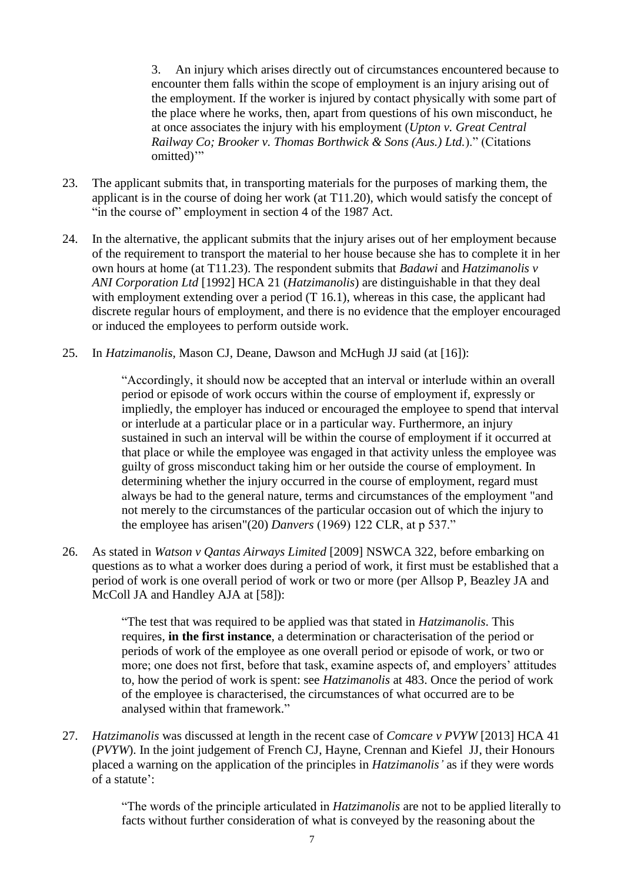3. An injury which arises directly out of circumstances encountered because to encounter them falls within the scope of employment is an injury arising out of the employment. If the worker is injured by contact physically with some part of the place where he works, then, apart from questions of his own misconduct, he at once associates the injury with his employment (*Upton v. Great Central Railway Co; Brooker v. Thomas Borthwick & Sons (Aus.) Ltd.*)." (Citations omitted)"

- 23. The applicant submits that, in transporting materials for the purposes of marking them, the applicant is in the course of doing her work (at T11.20), which would satisfy the concept of "in the course of" employment in section 4 of the 1987 Act.
- 24. In the alternative, the applicant submits that the injury arises out of her employment because of the requirement to transport the material to her house because she has to complete it in her own hours at home (at T11.23). The respondent submits that *Badawi* and *Hatzimanolis v ANI Corporation Ltd* [1992] HCA 21 (*Hatzimanolis*) are distinguishable in that they deal with employment extending over a period (T 16.1), whereas in this case, the applicant had discrete regular hours of employment, and there is no evidence that the employer encouraged or induced the employees to perform outside work.
- 25. In *Hatzimanolis,* Mason CJ, Deane, Dawson and McHugh JJ said (at [16]):

"Accordingly, it should now be accepted that an interval or interlude within an overall period or episode of work occurs within the course of employment if, expressly or impliedly, the employer has induced or encouraged the employee to spend that interval or interlude at a particular place or in a particular way. Furthermore, an injury sustained in such an interval will be within the course of employment if it occurred at that place or while the employee was engaged in that activity unless the employee was guilty of gross misconduct taking him or her outside the course of employment. In determining whether the injury occurred in the course of employment, regard must always be had to the general nature, terms and circumstances of the employment "and not merely to the circumstances of the particular occasion out of which the injury to the employee has arisen"(20) *Danvers* (1969) 122 CLR, at p 537."

26. As stated in *Watson v Qantas Airways Limited* [2009] NSWCA 322, before embarking on questions as to what a worker does during a period of work, it first must be established that a period of work is one overall period of work or two or more (per Allsop P, Beazley JA and McColl JA and Handley AJA at [58]):

> "The test that was required to be applied was that stated in *Hatzimanolis*. This requires, **in the first instance**, a determination or characterisation of the period or periods of work of the employee as one overall period or episode of work, or two or more; one does not first, before that task, examine aspects of, and employers' attitudes to, how the period of work is spent: see *Hatzimanolis* at 483. Once the period of work of the employee is characterised, the circumstances of what occurred are to be analysed within that framework."

27. *Hatzimanolis* was discussed at length in the recent case of *Comcare v PVYW* [2013] HCA 41 (*PVYW*). In the joint judgement of French CJ, Hayne, Crennan and Kiefel JJ, their Honours placed a warning on the application of the principles in *Hatzimanolis'* as if they were words of a statute':

> "The words of the principle articulated in *Hatzimanolis* are not to be applied literally to facts without further consideration of what is conveyed by the reasoning about the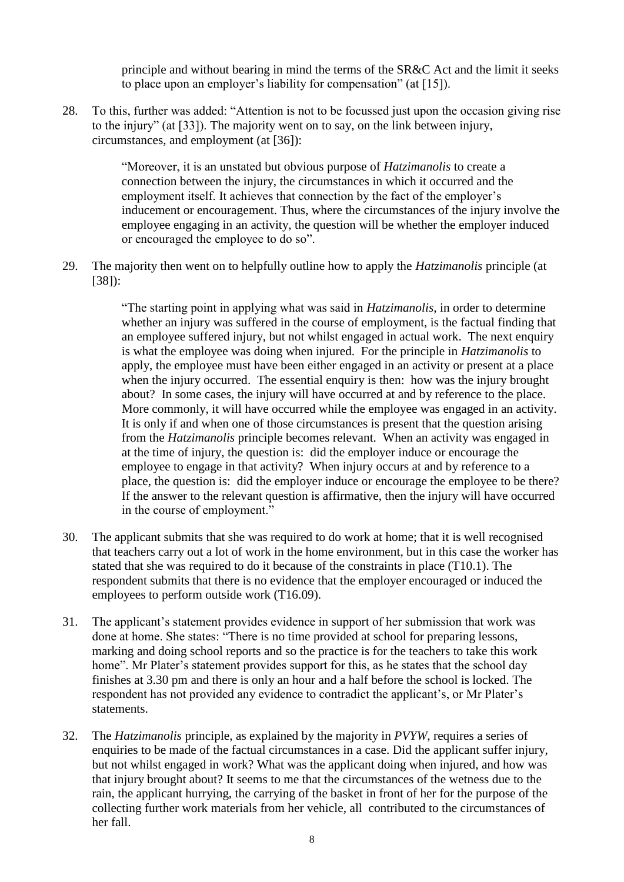principle and without bearing in mind the terms of the SR&C Act and the limit it seeks to place upon an employer's liability for compensation" (at [15]).

28. To this, further was added: "Attention is not to be focussed just upon the occasion giving rise to the injury" (at [33]). The majority went on to say, on the link between injury, circumstances, and employment (at [36]):

> "Moreover, it is an unstated but obvious purpose of *Hatzimanolis* to create a connection between the injury, the circumstances in which it occurred and the employment itself. It achieves that connection by the fact of the employer's inducement or encouragement. Thus, where the circumstances of the injury involve the employee engaging in an activity, the question will be whether the employer induced or encouraged the employee to do so".

29. The majority then went on to helpfully outline how to apply the *Hatzimanolis* principle (at [38]):

> "The starting point in applying what was said in *Hatzimanolis*, in order to determine whether an injury was suffered in the course of employment, is the factual finding that an employee suffered injury, but not whilst engaged in actual work. The next enquiry is what the employee was doing when injured. For the principle in *Hatzimanolis* to apply, the employee must have been either engaged in an activity or present at a place when the injury occurred. The essential enquiry is then: how was the injury brought about? In some cases, the injury will have occurred at and by reference to the place. More commonly, it will have occurred while the employee was engaged in an activity. It is only if and when one of those circumstances is present that the question arising from the *Hatzimanolis* principle becomes relevant. When an activity was engaged in at the time of injury, the question is: did the employer induce or encourage the employee to engage in that activity? When injury occurs at and by reference to a place, the question is: did the employer induce or encourage the employee to be there? If the answer to the relevant question is affirmative, then the injury will have occurred in the course of employment."

- 30. The applicant submits that she was required to do work at home; that it is well recognised that teachers carry out a lot of work in the home environment, but in this case the worker has stated that she was required to do it because of the constraints in place (T10.1). The respondent submits that there is no evidence that the employer encouraged or induced the employees to perform outside work (T16.09).
- 31. The applicant's statement provides evidence in support of her submission that work was done at home. She states: "There is no time provided at school for preparing lessons, marking and doing school reports and so the practice is for the teachers to take this work home". Mr Plater's statement provides support for this, as he states that the school day finishes at 3.30 pm and there is only an hour and a half before the school is locked. The respondent has not provided any evidence to contradict the applicant's, or Mr Plater's statements.
- 32. The *Hatzimanolis* principle, as explained by the majority in *PVYW*, requires a series of enquiries to be made of the factual circumstances in a case. Did the applicant suffer injury, but not whilst engaged in work? What was the applicant doing when injured, and how was that injury brought about? It seems to me that the circumstances of the wetness due to the rain, the applicant hurrying, the carrying of the basket in front of her for the purpose of the collecting further work materials from her vehicle, all contributed to the circumstances of her fall.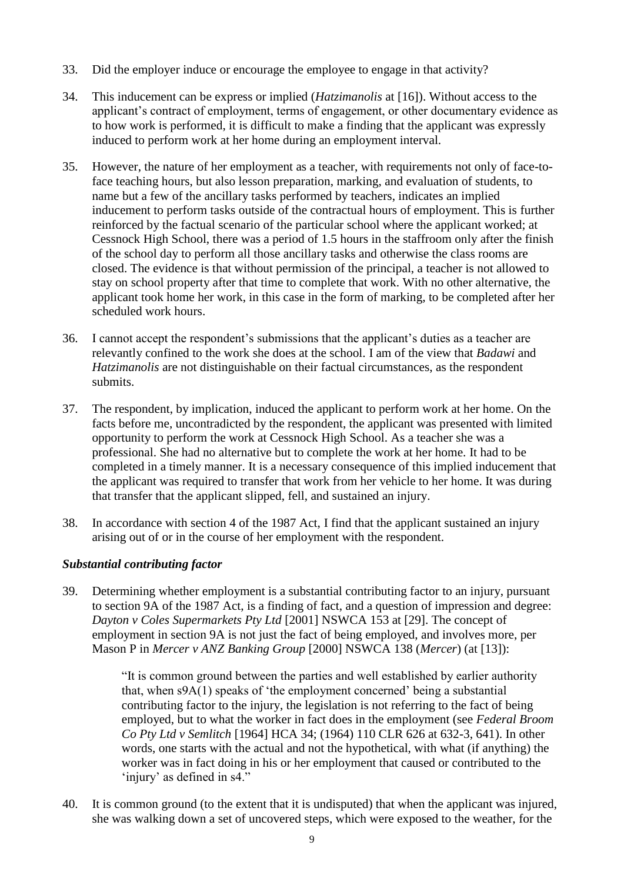- 33. Did the employer induce or encourage the employee to engage in that activity?
- 34. This inducement can be express or implied (*Hatzimanolis* at [16]). Without access to the applicant's contract of employment, terms of engagement, or other documentary evidence as to how work is performed, it is difficult to make a finding that the applicant was expressly induced to perform work at her home during an employment interval.
- 35. However, the nature of her employment as a teacher, with requirements not only of face-toface teaching hours, but also lesson preparation, marking, and evaluation of students, to name but a few of the ancillary tasks performed by teachers, indicates an implied inducement to perform tasks outside of the contractual hours of employment. This is further reinforced by the factual scenario of the particular school where the applicant worked; at Cessnock High School, there was a period of 1.5 hours in the staffroom only after the finish of the school day to perform all those ancillary tasks and otherwise the class rooms are closed. The evidence is that without permission of the principal, a teacher is not allowed to stay on school property after that time to complete that work. With no other alternative, the applicant took home her work, in this case in the form of marking, to be completed after her scheduled work hours.
- 36. I cannot accept the respondent's submissions that the applicant's duties as a teacher are relevantly confined to the work she does at the school. I am of the view that *Badawi* and *Hatzimanolis* are not distinguishable on their factual circumstances, as the respondent submits.
- 37. The respondent, by implication, induced the applicant to perform work at her home. On the facts before me, uncontradicted by the respondent, the applicant was presented with limited opportunity to perform the work at Cessnock High School. As a teacher she was a professional. She had no alternative but to complete the work at her home. It had to be completed in a timely manner. It is a necessary consequence of this implied inducement that the applicant was required to transfer that work from her vehicle to her home. It was during that transfer that the applicant slipped, fell, and sustained an injury.
- 38. In accordance with section 4 of the 1987 Act, I find that the applicant sustained an injury arising out of or in the course of her employment with the respondent.

# *Substantial contributing factor*

39. Determining whether employment is a substantial contributing factor to an injury, pursuant to section 9A of the 1987 Act, is a finding of fact, and a question of impression and degree: *Dayton v Coles Supermarkets Pty Ltd* [2001] NSWCA 153 at [29]. The concept of employment in section 9A is not just the fact of being employed, and involves more, per Mason P in *Mercer v ANZ Banking Group* [2000] NSWCA 138 (*Mercer*) (at [13]):

> "It is common ground between the parties and well established by earlier authority that, when s9A(1) speaks of 'the employment concerned' being a substantial contributing factor to the injury, the legislation is not referring to the fact of being employed, but to what the worker in fact does in the employment (see *Federal Broom Co Pty Ltd v Semlitch* [1964] HCA 34; (1964) 110 CLR 626 at 632-3, 641). In other words, one starts with the actual and not the hypothetical, with what (if anything) the worker was in fact doing in his or her employment that caused or contributed to the 'injury' as defined in s4."

40. It is common ground (to the extent that it is undisputed) that when the applicant was injured, she was walking down a set of uncovered steps, which were exposed to the weather, for the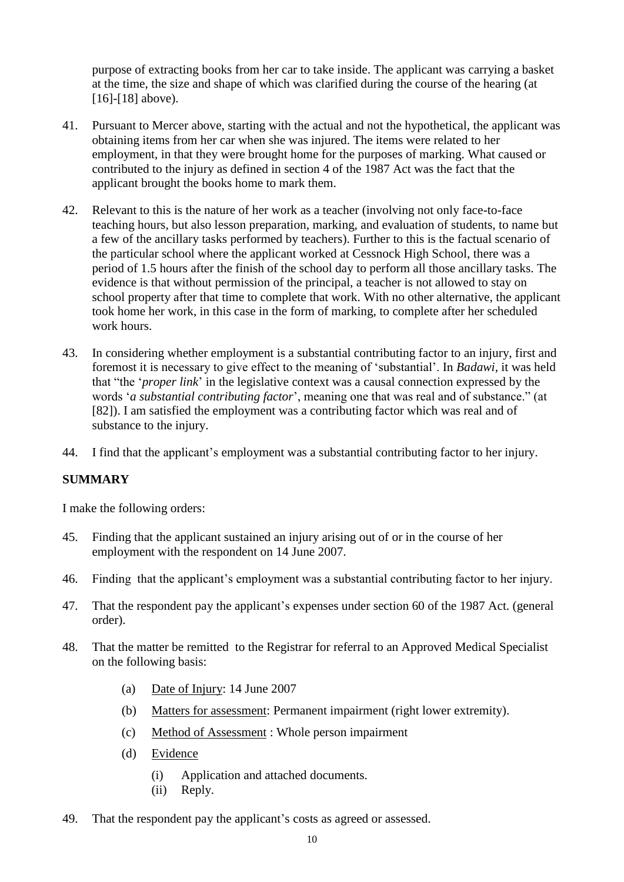purpose of extracting books from her car to take inside. The applicant was carrying a basket at the time, the size and shape of which was clarified during the course of the hearing (at [16]-[18] above).

- 41. Pursuant to Mercer above, starting with the actual and not the hypothetical, the applicant was obtaining items from her car when she was injured. The items were related to her employment, in that they were brought home for the purposes of marking. What caused or contributed to the injury as defined in section 4 of the 1987 Act was the fact that the applicant brought the books home to mark them.
- 42. Relevant to this is the nature of her work as a teacher (involving not only face-to-face teaching hours, but also lesson preparation, marking, and evaluation of students, to name but a few of the ancillary tasks performed by teachers). Further to this is the factual scenario of the particular school where the applicant worked at Cessnock High School, there was a period of 1.5 hours after the finish of the school day to perform all those ancillary tasks. The evidence is that without permission of the principal, a teacher is not allowed to stay on school property after that time to complete that work. With no other alternative, the applicant took home her work, in this case in the form of marking, to complete after her scheduled work hours.
- 43. In considering whether employment is a substantial contributing factor to an injury, first and foremost it is necessary to give effect to the meaning of 'substantial'. In *Badawi*, it was held that "the '*proper link*' in the legislative context was a causal connection expressed by the words '*a substantial contributing factor*', meaning one that was real and of substance." (at [82]). I am satisfied the employment was a contributing factor which was real and of substance to the injury.
- 44. I find that the applicant's employment was a substantial contributing factor to her injury.

#### **SUMMARY**

I make the following orders:

- 45. Finding that the applicant sustained an injury arising out of or in the course of her employment with the respondent on 14 June 2007.
- 46. Finding that the applicant's employment was a substantial contributing factor to her injury.
- 47. That the respondent pay the applicant's expenses under section 60 of the 1987 Act. (general order).
- 48. That the matter be remitted to the Registrar for referral to an Approved Medical Specialist on the following basis:
	- (a) Date of Injury: 14 June 2007
	- (b) Matters for assessment: Permanent impairment (right lower extremity).
	- (c) Method of Assessment : Whole person impairment
	- (d) Evidence
		- (i) Application and attached documents.
		- (ii) Reply.
- 49. That the respondent pay the applicant's costs as agreed or assessed.